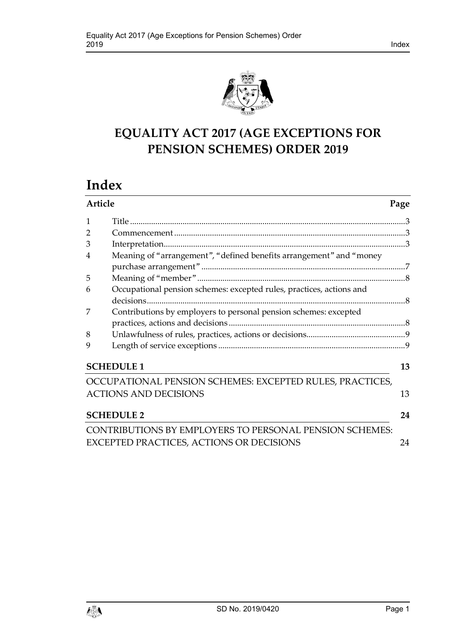



# **EQUALITY ACT 2017 (AGE EXCEPTIONS FOR PENSION SCHEMES) ORDER 2019**

# **Index**

| <b>Article</b>                                           |                                                                      | Page |
|----------------------------------------------------------|----------------------------------------------------------------------|------|
| 1                                                        |                                                                      |      |
| 2                                                        |                                                                      |      |
| 3                                                        |                                                                      |      |
| 4                                                        | Meaning of "arrangement", "defined benefits arrangement" and "money  |      |
|                                                          |                                                                      |      |
| 5                                                        |                                                                      |      |
| 6                                                        | Occupational pension schemes: excepted rules, practices, actions and |      |
|                                                          |                                                                      |      |
| 7                                                        | Contributions by employers to personal pension schemes: excepted     |      |
|                                                          |                                                                      |      |
| 8                                                        |                                                                      |      |
| 9                                                        |                                                                      |      |
|                                                          | <b>SCHEDULE 1</b>                                                    |      |
| OCCUPATIONAL PENSION SCHEMES: EXCEPTED RULES, PRACTICES, |                                                                      |      |
|                                                          | <b>ACTIONS AND DECISIONS</b>                                         | 13   |
|                                                          | <b>SCHEDULE 2</b>                                                    |      |
|                                                          | CONTRIBUTIONS BY EMPLOYERS TO PERSONAL PENSION SCHEMES:              |      |
|                                                          | EXCEPTED PRACTICES, ACTIONS OR DECISIONS                             | 24   |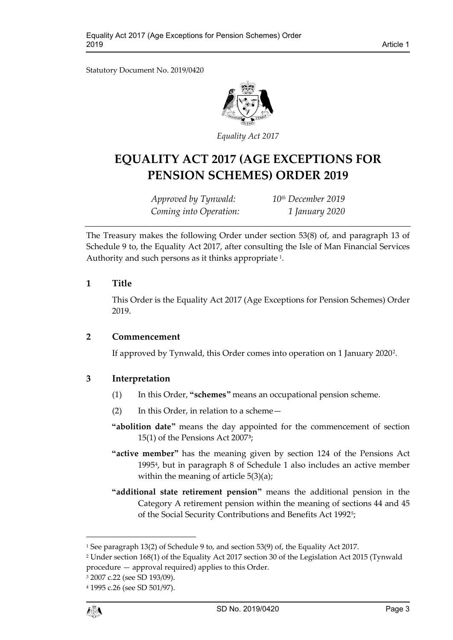Statutory Document No. 2019/0420



*Equality Act 2017*

# **EQUALITY ACT 2017 (AGE EXCEPTIONS FOR PENSION SCHEMES) ORDER 2019**

*Approved by Tynwald: 10th December 2019 Coming into Operation: 1 January 2020*

The Treasury makes the following Order under section 53(8) of, and paragraph 13 of Schedule 9 to, the Equality Act 2017, after consulting the Isle of Man Financial Services Authority and such persons as it thinks appropriate [1.](#page-2-3)

### <span id="page-2-0"></span>**1 Title**

This Order is the Equality Act 2017 (Age Exceptions for Pension Schemes) Order 2019.

## <span id="page-2-1"></span>**2 Commencement**

If approved by Tynwald, this Order comes into operation on 1 January 2020[2](#page-2-4).

## <span id="page-2-7"></span><span id="page-2-2"></span>**3 Interpretation**

- (1) In this Order, **"schemes"** means an occupational pension scheme.
- (2) In this Order, in relation to a scheme—
- **"abolition date"** means the day appointed for the commencement of section 15(1) of the Pensions Act 2007**[3](#page-2-5)**;
- **"active member"** has the meaning given by section 124 of the Pensions Act 1995[4](#page-2-6), but in paragraph 8 of Schedule 1 also includes an active member within the meaning of article 5(3)(a);
- **"additional state retirement pension"** means the additional pension in the Category A retirement pension within the meaning of sections 44 and 45 of the Social Security Contributions and Benefits Act 1992[5;](#page-2-7)

<span id="page-2-3"></span><sup>1</sup> See paragraph 13(2) of Schedule 9 to, and section 53(9) of, the Equality Act 2017.

<span id="page-2-4"></span><sup>2</sup> Under section 168(1) of the Equality Act 2017 section 30 of the Legislation Act 2015 (Tynwald procedure — approval required) applies to this Order.

<span id="page-2-5"></span><sup>3</sup> 2007 c.22 (see SD 193/09).

<span id="page-2-6"></span><sup>4</sup> 1995 c.26 (see SD 501/97).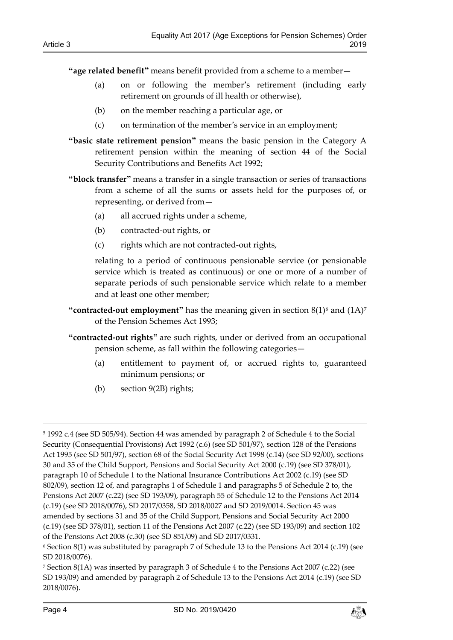- **"age related benefit"** means benefit provided from a scheme to a member—
	- (a) on or following the member's retirement (including early retirement on grounds of ill health or otherwise),
	- (b) on the member reaching a particular age, or
	- (c) on termination of the member's service in an employment;
- **"basic state retirement pension"** means the basic pension in the Category A retirement pension within the meaning of section 44 of the Social Security Contributions and Benefits Act 1992;
- **"block transfer"** means a transfer in a single transaction or series of transactions from a scheme of all the sums or assets held for the purposes of, or representing, or derived from—
	- (a) all accrued rights under a scheme,
	- (b) contracted-out rights, or
	- (c) rights which are not contracted-out rights,

relating to a period of continuous pensionable service (or pensionable service which is treated as continuous) or one or more of a number of separate periods of such pensionable service which relate to a member and at least one other member;

- "**contracted-out employment**" has the meaning given in section  $8(1)^6$  $8(1)^6$  and  $(1A)^7$  $(1A)^7$ of the Pension Schemes Act 1993;
- **"contracted-out rights"** are such rights, under or derived from an occupational pension scheme, as fall within the following categories—
	- (a) entitlement to payment of, or accrued rights to, guaranteed minimum pensions; or
	- (b) section 9(2B) rights;

<u>.</u>

<sup>5</sup> 1992 c.4 (see SD 505/94). Section 44 was amended by paragraph 2 of Schedule 4 to the Social Security (Consequential Provisions) Act 1992 (c.6) (see SD 501/97), section 128 of the Pensions Act 1995 (see SD 501/97), section 68 of the Social Security Act 1998 (c.14) (see SD 92/00), sections 30 and 35 of the Child Support, Pensions and Social Security Act 2000 (c.19) (see SD 378/01), paragraph 10 of Schedule 1 to the National Insurance Contributions Act 2002 (c.19) (see SD 802/09), section 12 of, and paragraphs 1 of Schedule 1 and paragraphs 5 of Schedule 2 to, the Pensions Act 2007 (c.22) (see SD 193/09), paragraph 55 of Schedule 12 to the Pensions Act 2014 (c.19) (see SD 2018/0076), SD 2017/0358, SD 2018/0027 and SD 2019/0014. Section 45 was amended by sections 31 and 35 of the Child Support, Pensions and Social Security Act 2000 (c.19) (see SD 378/01), section 11 of the Pensions Act 2007 (c.22) (see SD 193/09) and section 102 of the Pensions Act 2008 (c.30) (see SD 851/09) and SD 2017/0331.

<span id="page-3-0"></span><sup>6</sup> Section 8(1) was substituted by paragraph 7 of Schedule 13 to the Pensions Act 2014 (c.19) (see SD 2018/0076).

<span id="page-3-1"></span><sup>7</sup> Section 8(1A) was inserted by paragraph 3 of Schedule 4 to the Pensions Act 2007 (c.22) (see SD 193/09) and amended by paragraph 2 of Schedule 13 to the Pensions Act 2014 (c.19) (see SD 2018/0076).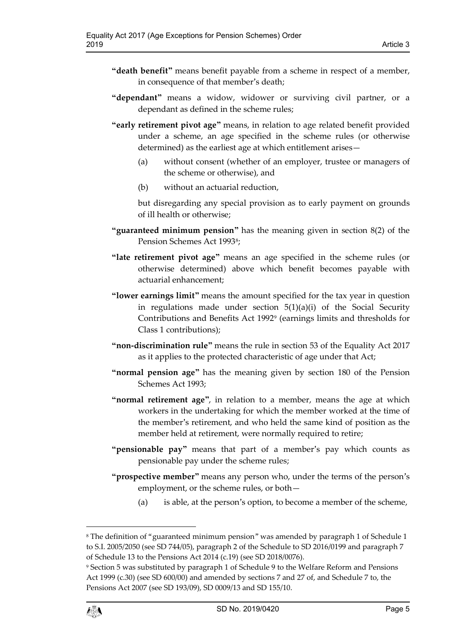- **"death benefit"** means benefit payable from a scheme in respect of a member, in consequence of that member's death;
- **"dependant"** means a widow, widower or surviving civil partner, or a dependant as defined in the scheme rules;
- **"early retirement pivot age"** means, in relation to age related benefit provided under a scheme, an age specified in the scheme rules (or otherwise determined) as the earliest age at which entitlement arises—
	- (a) without consent (whether of an employer, trustee or managers of the scheme or otherwise), and
	- (b) without an actuarial reduction,

but disregarding any special provision as to early payment on grounds of ill health or otherwise;

- **"guaranteed minimum pension"** has the meaning given in section 8(2) of the Pension Schemes Act 1993<sup>[8](#page-4-0)</sup>;
- **"late retirement pivot age"** means an age specified in the scheme rules (or otherwise determined) above which benefit becomes payable with actuarial enhancement;
- **"lower earnings limit"** means the amount specified for the tax year in question in regulations made under section  $5(1)(a)(i)$  of the Social Security Contributions and Benefits Act 199[29](#page-4-1) (earnings limits and thresholds for Class 1 contributions);
- **"non-discrimination rule"** means the rule in section 53 of the Equality Act 2017 as it applies to the protected characteristic of age under that Act;
- **"normal pension age"** has the meaning given by section 180 of the Pension Schemes Act 1993;
- **"normal retirement age"**, in relation to a member, means the age at which workers in the undertaking for which the member worked at the time of the member's retirement, and who held the same kind of position as the member held at retirement, were normally required to retire;
- **"pensionable pay"** means that part of a member's pay which counts as pensionable pay under the scheme rules;
- **"prospective member"** means any person who, under the terms of the person's employment, or the scheme rules, or both—
	- (a) is able, at the person's option, to become a member of the scheme,

<span id="page-4-1"></span><sup>9</sup> Section 5 was substituted by paragraph 1 of Schedule 9 to the Welfare Reform and Pensions Act 1999 (c.30) (see SD 600/00) and amended by sections 7 and 27 of, and Schedule 7 to, the Pensions Act 2007 (see SD 193/09), SD 0009/13 and SD 155/10.



<span id="page-4-0"></span><sup>8</sup> The definition of "guaranteed minimum pension" was amended by paragraph 1 of Schedule 1 to S.I. 2005/2050 (see SD 744/05), paragraph 2 of the Schedule to SD 2016/0199 and paragraph 7 of Schedule 13 to the Pensions Act 2014 (c.19) (see SD 2018/0076).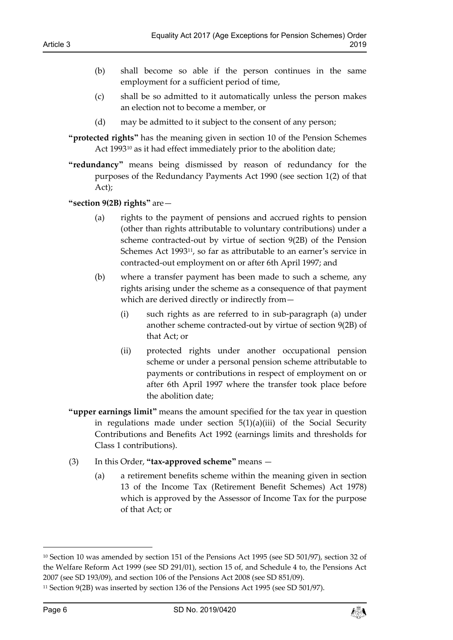- (b) shall become so able if the person continues in the same employment for a sufficient period of time,
- (c) shall be so admitted to it automatically unless the person makes an election not to become a member, or
- (d) may be admitted to it subject to the consent of any person;
- **"protected rights"** has the meaning given in section 10 of the Pension Schemes Act 1993<sup>[10](#page-5-0)</sup> as it had effect immediately prior to the abolition date;
- **"redundancy"** means being dismissed by reason of redundancy for the purposes of the Redundancy Payments Act 1990 (see section 1(2) of that Act);
- **"section 9(2B) rights"** are—
	- (a) rights to the payment of pensions and accrued rights to pension (other than rights attributable to voluntary contributions) under a scheme contracted-out by virtue of section 9(2B) of the Pension Schemes Act 1993<sup>[11](#page-5-1)</sup>, so far as attributable to an earner's service in contracted-out employment on or after 6th April 1997; and
	- (b) where a transfer payment has been made to such a scheme, any rights arising under the scheme as a consequence of that payment which are derived directly or indirectly from—
		- (i) such rights as are referred to in sub-paragraph (a) under another scheme contracted-out by virtue of section 9(2B) of that Act; or
		- (ii) protected rights under another occupational pension scheme or under a personal pension scheme attributable to payments or contributions in respect of employment on or after 6th April 1997 where the transfer took place before the abolition date;
- **"upper earnings limit"** means the amount specified for the tax year in question in regulations made under section 5(1)(a)(iii) of the Social Security Contributions and Benefits Act 1992 (earnings limits and thresholds for Class 1 contributions).
- (3) In this Order, **"tax-approved scheme"** means
	- (a) a retirement benefits scheme within the meaning given in section 13 of the Income Tax (Retirement Benefit Schemes) Act 1978) which is approved by the Assessor of Income Tax for the purpose of that Act; or

-



<span id="page-5-0"></span><sup>&</sup>lt;sup>10</sup> Section 10 was amended by section 151 of the Pensions Act 1995 (see SD 501/97), section 32 of the Welfare Reform Act 1999 (see SD 291/01), section 15 of, and Schedule 4 to, the Pensions Act 2007 (see SD 193/09), and section 106 of the Pensions Act 2008 (see SD 851/09).

<span id="page-5-1"></span><sup>11</sup> Section 9(2B) was inserted by section 136 of the Pensions Act 1995 (see SD 501/97).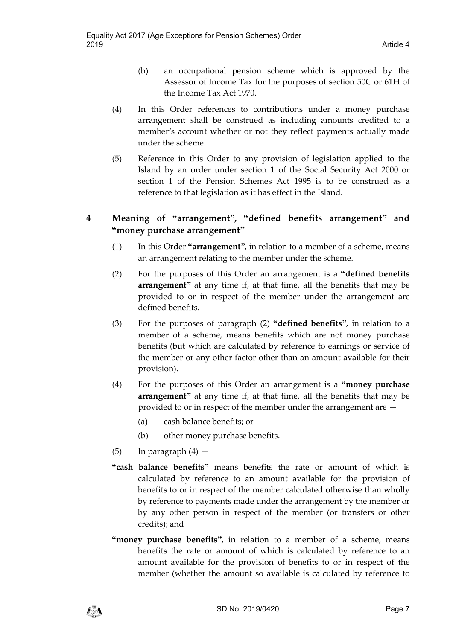- (b) an occupational pension scheme which is approved by the Assessor of Income Tax for the purposes of section 50C or 61H of the Income Tax Act 1970.
- (4) In this Order references to contributions under a money purchase arrangement shall be construed as including amounts credited to a member's account whether or not they reflect payments actually made under the scheme.
- (5) Reference in this Order to any provision of legislation applied to the Island by an order under section 1 of the Social Security Act 2000 or section 1 of the Pension Schemes Act 1995 is to be construed as a reference to that legislation as it has effect in the Island.

# <span id="page-6-0"></span>**4 Meaning of "arrangement", "defined benefits arrangement" and "money purchase arrangement"**

- (1) In this Order **"arrangement"**, in relation to a member of a scheme, means an arrangement relating to the member under the scheme.
- (2) For the purposes of this Order an arrangement is a **"defined benefits arrangement"** at any time if, at that time, all the benefits that may be provided to or in respect of the member under the arrangement are defined benefits.
- (3) For the purposes of paragraph (2) **"defined benefits"**, in relation to a member of a scheme, means benefits which are not money purchase benefits (but which are calculated by reference to earnings or service of the member or any other factor other than an amount available for their provision).
- (4) For the purposes of this Order an arrangement is a **"money purchase arrangement"** at any time if, at that time, all the benefits that may be provided to or in respect of the member under the arrangement are —
	- (a) cash balance benefits; or
	- (b) other money purchase benefits.
- (5) In paragraph  $(4)$  -
- **"cash balance benefits"** means benefits the rate or amount of which is calculated by reference to an amount available for the provision of benefits to or in respect of the member calculated otherwise than wholly by reference to payments made under the arrangement by the member or by any other person in respect of the member (or transfers or other credits); and
- **"money purchase benefits"**, in relation to a member of a scheme, means benefits the rate or amount of which is calculated by reference to an amount available for the provision of benefits to or in respect of the member (whether the amount so available is calculated by reference to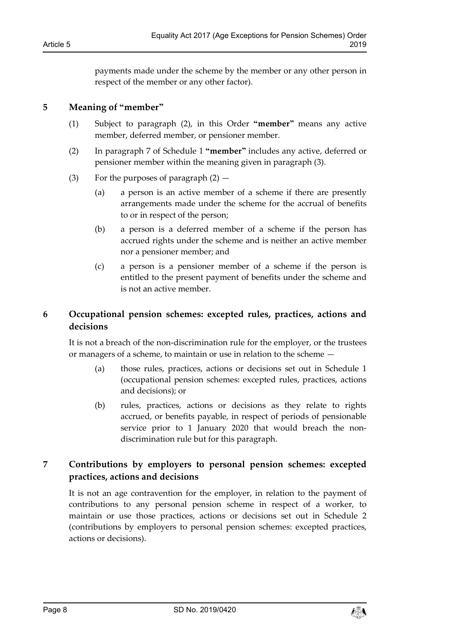payments made under the scheme by the member or any other person in respect of the member or any other factor).

## <span id="page-7-0"></span>**5 Meaning of "member"**

- (1) Subject to paragraph (2), in this Order **"member"** means any active member, deferred member, or pensioner member.
- (2) In paragraph 7 of Schedule 1 **"member"** includes any active, deferred or pensioner member within the meaning given in paragraph (3).
- (3) For the purposes of paragraph  $(2)$ 
	- (a) a person is an active member of a scheme if there are presently arrangements made under the scheme for the accrual of benefits to or in respect of the person;
	- (b) a person is a deferred member of a scheme if the person has accrued rights under the scheme and is neither an active member nor a pensioner member; and
	- (c) a person is a pensioner member of a scheme if the person is entitled to the present payment of benefits under the scheme and is not an active member.

# <span id="page-7-1"></span>**6 Occupational pension schemes: excepted rules, practices, actions and decisions**

It is not a breach of the non-discrimination rule for the employer, or the trustees or managers of a scheme, to maintain or use in relation to the scheme —

- (a) those rules, practices, actions or decisions set out in Schedule 1 (occupational pension schemes: excepted rules, practices, actions and decisions); or
- (b) rules, practices, actions or decisions as they relate to rights accrued, or benefits payable, in respect of periods of pensionable service prior to 1 January 2020 that would breach the nondiscrimination rule but for this paragraph.

# <span id="page-7-2"></span>**7 Contributions by employers to personal pension schemes: excepted practices, actions and decisions**

It is not an age contravention for the employer, in relation to the payment of contributions to any personal pension scheme in respect of a worker, to maintain or use those practices, actions or decisions set out in Schedule 2 (contributions by employers to personal pension schemes: excepted practices, actions or decisions).

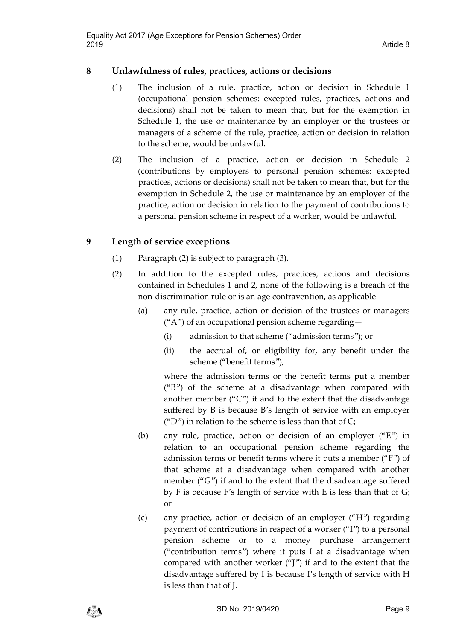## <span id="page-8-0"></span>**8 Unlawfulness of rules, practices, actions or decisions**

- (1) The inclusion of a rule, practice, action or decision in Schedule 1 (occupational pension schemes: excepted rules, practices, actions and decisions) shall not be taken to mean that, but for the exemption in Schedule 1, the use or maintenance by an employer or the trustees or managers of a scheme of the rule, practice, action or decision in relation to the scheme, would be unlawful.
- (2) The inclusion of a practice, action or decision in Schedule 2 (contributions by employers to personal pension schemes: excepted practices, actions or decisions) shall not be taken to mean that, but for the exemption in Schedule 2, the use or maintenance by an employer of the practice, action or decision in relation to the payment of contributions to a personal pension scheme in respect of a worker, would be unlawful.

# <span id="page-8-1"></span>**9 Length of service exceptions**

- (1) Paragraph (2) is subject to paragraph (3).
- (2) In addition to the excepted rules, practices, actions and decisions contained in Schedules 1 and 2, none of the following is a breach of the non-discrimination rule or is an age contravention, as applicable—
	- (a) any rule, practice, action or decision of the trustees or managers ("A") of an occupational pension scheme regarding—
		- (i) admission to that scheme ("admission terms"); or
		- (ii) the accrual of, or eligibility for, any benefit under the scheme ("benefit terms"),

where the admission terms or the benefit terms put a member ("B") of the scheme at a disadvantage when compared with another member ("C") if and to the extent that the disadvantage suffered by B is because B's length of service with an employer ("D") in relation to the scheme is less than that of  $C$ ;

- (b) any rule, practice, action or decision of an employer ("E") in relation to an occupational pension scheme regarding the admission terms or benefit terms where it puts a member ("F") of that scheme at a disadvantage when compared with another member ("G") if and to the extent that the disadvantage suffered by F is because F's length of service with E is less than that of G; or
- (c) any practice, action or decision of an employer ("H") regarding payment of contributions in respect of a worker ("I") to a personal pension scheme or to a money purchase arrangement ("contribution terms") where it puts I at a disadvantage when compared with another worker ("J") if and to the extent that the disadvantage suffered by I is because I's length of service with H is less than that of J.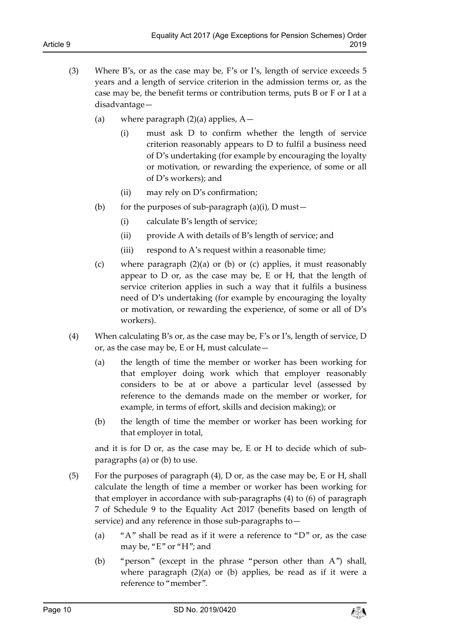- (3) Where B's, or as the case may be, F's or I's, length of service exceeds 5 years and a length of service criterion in the admission terms or, as the case may be, the benefit terms or contribution terms, puts B or F or I at a disadvantage—
	- (a) where paragraph  $(2)(a)$  applies,  $A-$ 
		- (i) must ask D to confirm whether the length of service criterion reasonably appears to D to fulfil a business need of D's undertaking (for example by encouraging the loyalty or motivation, or rewarding the experience, of some or all of D's workers); and
		- (ii) may rely on D's confirmation;
	- (b) for the purposes of sub-paragraph  $(a)(i)$ , D must-
		- (i) calculate B's length of service;
		- (ii) provide A with details of B's length of service; and
		- (iii) respond to A's request within a reasonable time;
	- (c) where paragraph (2)(a) or (b) or (c) applies, it must reasonably appear to D or, as the case may be, E or H, that the length of service criterion applies in such a way that it fulfils a business need of D's undertaking (for example by encouraging the loyalty or motivation, or rewarding the experience, of some or all of D's workers).
- (4) When calculating B's or, as the case may be, F's or I's, length of service, D or, as the case may be, E or H, must calculate—
	- (a) the length of time the member or worker has been working for that employer doing work which that employer reasonably considers to be at or above a particular level (assessed by reference to the demands made on the member or worker, for example, in terms of effort, skills and decision making); or
	- (b) the length of time the member or worker has been working for that employer in total,

and it is for D or, as the case may be, E or H to decide which of subparagraphs (a) or (b) to use.

- (5) For the purposes of paragraph (4), D or, as the case may be, E or H, shall calculate the length of time a member or worker has been working for that employer in accordance with sub-paragraphs (4) to (6) of paragraph 7 of Schedule 9 to the Equality Act 2017 (benefits based on length of service) and any reference in those sub-paragraphs to—
	- (a)  $A''$  shall be read as if it were a reference to "D" or, as the case may be, "E" or "H"; and
	- (b) "person" (except in the phrase "person other than A") shall, where paragraph  $(2)(a)$  or  $(b)$  applies, be read as if it were a reference to "member".

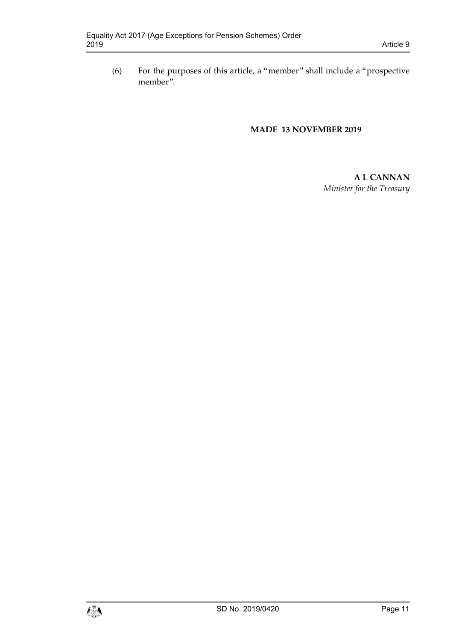(6) For the purposes of this article, a "member" shall include a "prospective member".

## **MADE 13 NOVEMBER 2019**

**A L CANNAN** *Minister for the Treasury*

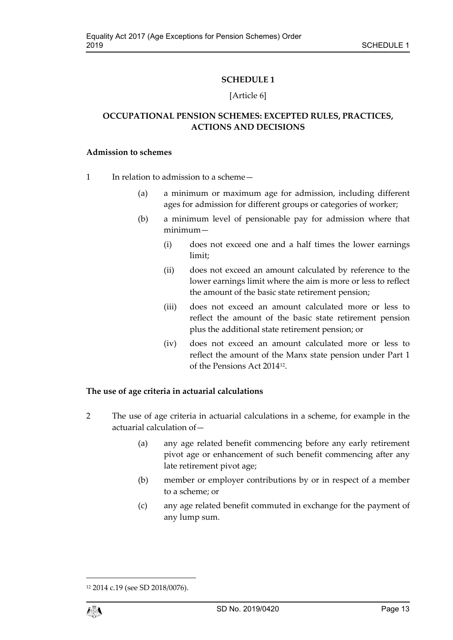## **SCHEDULE 1**

### [Article 6]

## <span id="page-12-1"></span><span id="page-12-0"></span>**OCCUPATIONAL PENSION SCHEMES: EXCEPTED RULES, PRACTICES, ACTIONS AND DECISIONS**

### **Admission to schemes**

- 1 In relation to admission to a scheme—
	- (a) a minimum or maximum age for admission, including different ages for admission for different groups or categories of worker;
	- (b) a minimum level of pensionable pay for admission where that minimum—
		- (i) does not exceed one and a half times the lower earnings limit;
		- (ii) does not exceed an amount calculated by reference to the lower earnings limit where the aim is more or less to reflect the amount of the basic state retirement pension;
		- (iii) does not exceed an amount calculated more or less to reflect the amount of the basic state retirement pension plus the additional state retirement pension; or
		- (iv) does not exceed an amount calculated more or less to reflect the amount of the Manx state pension under Part 1 of the Pensions Act 2014[12.](#page-12-2)

#### **The use of age criteria in actuarial calculations**

- 2 The use of age criteria in actuarial calculations in a scheme, for example in the actuarial calculation of—
	- (a) any age related benefit commencing before any early retirement pivot age or enhancement of such benefit commencing after any late retirement pivot age;
	- (b) member or employer contributions by or in respect of a member to a scheme; or
	- (c) any age related benefit commuted in exchange for the payment of any lump sum.

<span id="page-12-2"></span><sup>12</sup> 2014 c.19 (see SD 2018/0076).

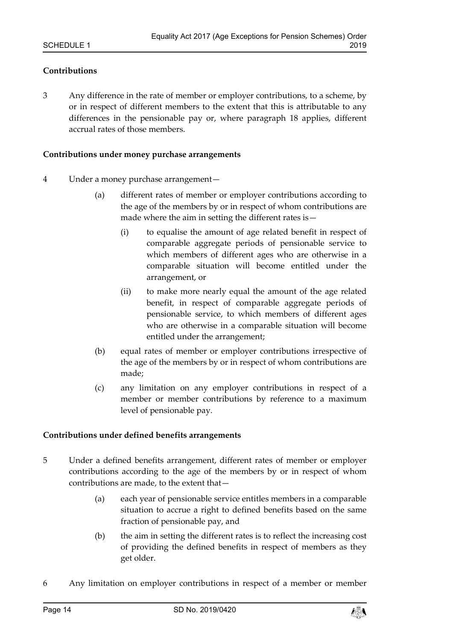## **Contributions**

3 Any difference in the rate of member or employer contributions, to a scheme, by or in respect of different members to the extent that this is attributable to any differences in the pensionable pay or, where paragraph 18 applies, different accrual rates of those members.

### **Contributions under money purchase arrangements**

- 4 Under a money purchase arrangement—
	- (a) different rates of member or employer contributions according to the age of the members by or in respect of whom contributions are made where the aim in setting the different rates is—
		- (i) to equalise the amount of age related benefit in respect of comparable aggregate periods of pensionable service to which members of different ages who are otherwise in a comparable situation will become entitled under the arrangement, or
		- (ii) to make more nearly equal the amount of the age related benefit, in respect of comparable aggregate periods of pensionable service, to which members of different ages who are otherwise in a comparable situation will become entitled under the arrangement;
	- (b) equal rates of member or employer contributions irrespective of the age of the members by or in respect of whom contributions are made;
	- (c) any limitation on any employer contributions in respect of a member or member contributions by reference to a maximum level of pensionable pay.

#### **Contributions under defined benefits arrangements**

- 5 Under a defined benefits arrangement, different rates of member or employer contributions according to the age of the members by or in respect of whom contributions are made, to the extent that—
	- (a) each year of pensionable service entitles members in a comparable situation to accrue a right to defined benefits based on the same fraction of pensionable pay, and
	- (b) the aim in setting the different rates is to reflect the increasing cost of providing the defined benefits in respect of members as they get older.
- 6 Any limitation on employer contributions in respect of a member or member

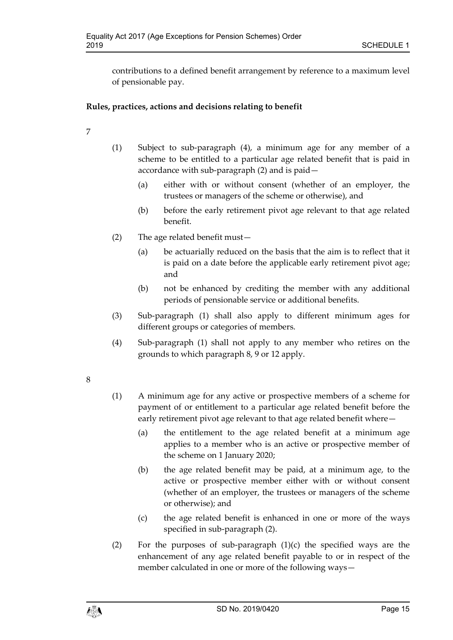contributions to a defined benefit arrangement by reference to a maximum level of pensionable pay.

#### **Rules, practices, actions and decisions relating to benefit**

7

- (1) Subject to sub-paragraph (4), a minimum age for any member of a scheme to be entitled to a particular age related benefit that is paid in accordance with sub-paragraph (2) and is paid—
	- (a) either with or without consent (whether of an employer, the trustees or managers of the scheme or otherwise), and
	- (b) before the early retirement pivot age relevant to that age related benefit.
- (2) The age related benefit must—
	- (a) be actuarially reduced on the basis that the aim is to reflect that it is paid on a date before the applicable early retirement pivot age; and
	- (b) not be enhanced by crediting the member with any additional periods of pensionable service or additional benefits.
- (3) Sub-paragraph (1) shall also apply to different minimum ages for different groups or categories of members.
- (4) Sub-paragraph (1) shall not apply to any member who retires on the grounds to which paragraph 8, 9 or 12 apply.
- 8
- (1) A minimum age for any active or prospective members of a scheme for payment of or entitlement to a particular age related benefit before the early retirement pivot age relevant to that age related benefit where—
	- (a) the entitlement to the age related benefit at a minimum age applies to a member who is an active or prospective member of the scheme on 1 January 2020;
	- (b) the age related benefit may be paid, at a minimum age, to the active or prospective member either with or without consent (whether of an employer, the trustees or managers of the scheme or otherwise); and
	- (c) the age related benefit is enhanced in one or more of the ways specified in sub-paragraph (2).
- (2) For the purposes of sub-paragraph  $(1)(c)$  the specified ways are the enhancement of any age related benefit payable to or in respect of the member calculated in one or more of the following ways—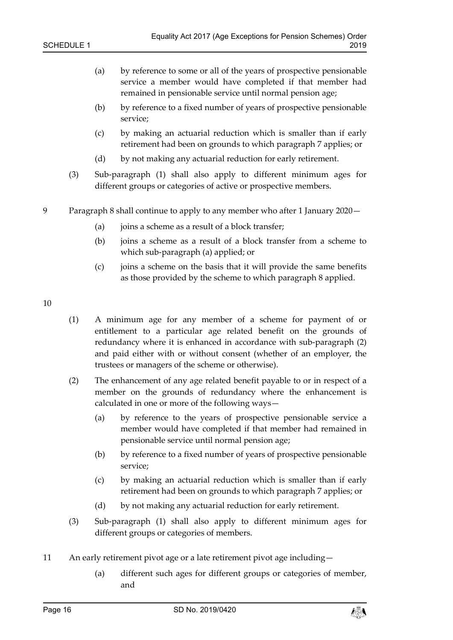- (a) by reference to some or all of the years of prospective pensionable service a member would have completed if that member had remained in pensionable service until normal pension age;
- (b) by reference to a fixed number of years of prospective pensionable service;
- (c) by making an actuarial reduction which is smaller than if early retirement had been on grounds to which paragraph 7 applies; or
- (d) by not making any actuarial reduction for early retirement.
- (3) Sub-paragraph (1) shall also apply to different minimum ages for different groups or categories of active or prospective members.

9 Paragraph 8 shall continue to apply to any member who after 1 January 2020—

- (a) joins a scheme as a result of a block transfer;
- (b) joins a scheme as a result of a block transfer from a scheme to which sub-paragraph (a) applied; or
- (c) joins a scheme on the basis that it will provide the same benefits as those provided by the scheme to which paragraph 8 applied.

10

- (1) A minimum age for any member of a scheme for payment of or entitlement to a particular age related benefit on the grounds of redundancy where it is enhanced in accordance with sub-paragraph (2) and paid either with or without consent (whether of an employer, the trustees or managers of the scheme or otherwise).
- (2) The enhancement of any age related benefit payable to or in respect of a member on the grounds of redundancy where the enhancement is calculated in one or more of the following ways—
	- (a) by reference to the years of prospective pensionable service a member would have completed if that member had remained in pensionable service until normal pension age;
	- (b) by reference to a fixed number of years of prospective pensionable service;
	- (c) by making an actuarial reduction which is smaller than if early retirement had been on grounds to which paragraph 7 applies; or
	- (d) by not making any actuarial reduction for early retirement.
- (3) Sub-paragraph (1) shall also apply to different minimum ages for different groups or categories of members.
- 11 An early retirement pivot age or a late retirement pivot age including—
	- (a) different such ages for different groups or categories of member, and

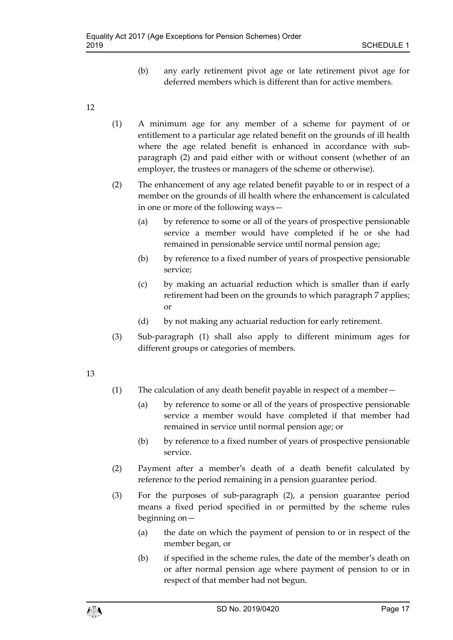- (b) any early retirement pivot age or late retirement pivot age for deferred members which is different than for active members.
- 12
- (1) A minimum age for any member of a scheme for payment of or entitlement to a particular age related benefit on the grounds of ill health where the age related benefit is enhanced in accordance with subparagraph (2) and paid either with or without consent (whether of an employer, the trustees or managers of the scheme or otherwise).
- (2) The enhancement of any age related benefit payable to or in respect of a member on the grounds of ill health where the enhancement is calculated in one or more of the following ways—
	- (a) by reference to some or all of the years of prospective pensionable service a member would have completed if he or she had remained in pensionable service until normal pension age;
	- (b) by reference to a fixed number of years of prospective pensionable service;
	- (c) by making an actuarial reduction which is smaller than if early retirement had been on the grounds to which paragraph 7 applies; or
	- (d) by not making any actuarial reduction for early retirement.
- (3) Sub-paragraph (1) shall also apply to different minimum ages for different groups or categories of members.
- 13
- (1) The calculation of any death benefit payable in respect of a member—
	- (a) by reference to some or all of the years of prospective pensionable service a member would have completed if that member had remained in service until normal pension age; or
	- (b) by reference to a fixed number of years of prospective pensionable service.
- (2) Payment after a member's death of a death benefit calculated by reference to the period remaining in a pension guarantee period.
- (3) For the purposes of sub-paragraph (2), a pension guarantee period means a fixed period specified in or permitted by the scheme rules beginning on—
	- (a) the date on which the payment of pension to or in respect of the member began, or
	- (b) if specified in the scheme rules, the date of the member's death on or after normal pension age where payment of pension to or in respect of that member had not begun.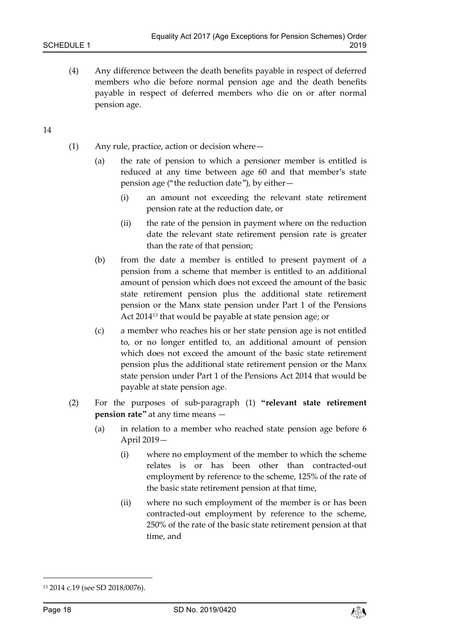(4) Any difference between the death benefits payable in respect of deferred members who die before normal pension age and the death benefits payable in respect of deferred members who die on or after normal pension age.

#### 14

- (1) Any rule, practice, action or decision where—
	- (a) the rate of pension to which a pensioner member is entitled is reduced at any time between age 60 and that member's state pension age ("the reduction date"), by either—
		- (i) an amount not exceeding the relevant state retirement pension rate at the reduction date, or
		- (ii) the rate of the pension in payment where on the reduction date the relevant state retirement pension rate is greater than the rate of that pension;
	- (b) from the date a member is entitled to present payment of a pension from a scheme that member is entitled to an additional amount of pension which does not exceed the amount of the basic state retirement pension plus the additional state retirement pension or the Manx state pension under Part 1 of the Pensions Act 2014[13](#page-17-0) that would be payable at state pension age; or
	- (c) a member who reaches his or her state pension age is not entitled to, or no longer entitled to, an additional amount of pension which does not exceed the amount of the basic state retirement pension plus the additional state retirement pension or the Manx state pension under Part 1 of the Pensions Act 2014 that would be payable at state pension age.
- (2) For the purposes of sub-paragraph (1) **"relevant state retirement pension rate"** at any time means —
	- (a) in relation to a member who reached state pension age before 6 April 2019—
		- (i) where no employment of the member to which the scheme relates is or has been other than contracted-out employment by reference to the scheme, 125% of the rate of the basic state retirement pension at that time,
		- (ii) where no such employment of the member is or has been contracted-out employment by reference to the scheme, 250% of the rate of the basic state retirement pension at that time, and

<u>.</u>



<span id="page-17-0"></span><sup>13</sup> 2014 c.19 (see SD 2018/0076).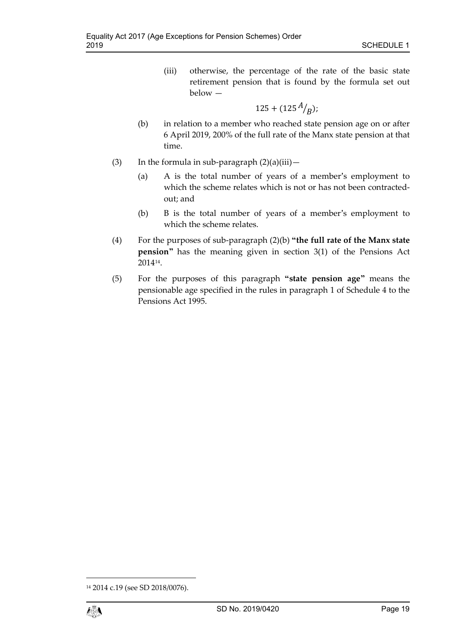(iii) otherwise, the percentage of the rate of the basic state retirement pension that is found by the formula set out below —

$$
125 + (125 \frac{A}{B});
$$

- (b) in relation to a member who reached state pension age on or after 6 April 2019, 200% of the full rate of the Manx state pension at that time.
- (3) In the formula in sub-paragraph  $(2)(a)(iii)$  -
	- (a) A is the total number of years of a member's employment to which the scheme relates which is not or has not been contractedout; and
	- (b) B is the total number of years of a member's employment to which the scheme relates.
- (4) For the purposes of sub-paragraph (2)(b) **"the full rate of the Manx state pension"** has the meaning given in section 3(1) of the Pensions Act 2014[14](#page-18-0).
- (5) For the purposes of this paragraph **"state pension age"** means the pensionable age specified in the rules in paragraph 1 of Schedule 4 to the Pensions Act 1995.

<span id="page-18-0"></span><sup>14</sup> 2014 c.19 (see SD 2018/0076).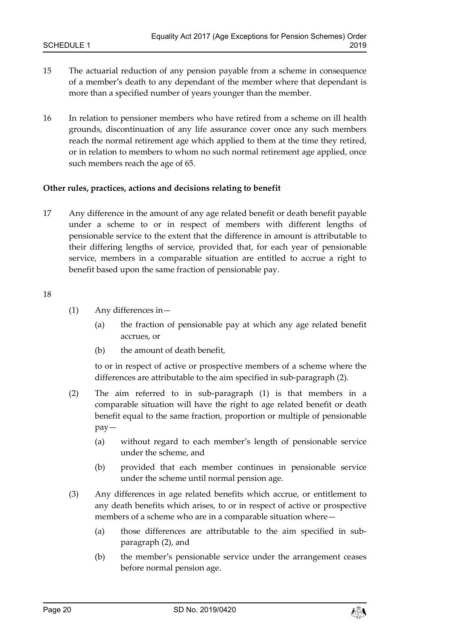- 15 The actuarial reduction of any pension payable from a scheme in consequence of a member's death to any dependant of the member where that dependant is more than a specified number of years younger than the member.
- 16 In relation to pensioner members who have retired from a scheme on ill health grounds, discontinuation of any life assurance cover once any such members reach the normal retirement age which applied to them at the time they retired, or in relation to members to whom no such normal retirement age applied, once such members reach the age of 65.

#### **Other rules, practices, actions and decisions relating to benefit**

17 Any difference in the amount of any age related benefit or death benefit payable under a scheme to or in respect of members with different lengths of pensionable service to the extent that the difference in amount is attributable to their differing lengths of service, provided that, for each year of pensionable service, members in a comparable situation are entitled to accrue a right to benefit based upon the same fraction of pensionable pay.

#### 18

- (1) Any differences in—
	- (a) the fraction of pensionable pay at which any age related benefit accrues, or
	- (b) the amount of death benefit,

to or in respect of active or prospective members of a scheme where the differences are attributable to the aim specified in sub-paragraph (2).

- (2) The aim referred to in sub-paragraph (1) is that members in a comparable situation will have the right to age related benefit or death benefit equal to the same fraction, proportion or multiple of pensionable pay—
	- (a) without regard to each member's length of pensionable service under the scheme, and
	- (b) provided that each member continues in pensionable service under the scheme until normal pension age.
- (3) Any differences in age related benefits which accrue, or entitlement to any death benefits which arises, to or in respect of active or prospective members of a scheme who are in a comparable situation where—
	- (a) those differences are attributable to the aim specified in subparagraph (2), and
	- (b) the member's pensionable service under the arrangement ceases before normal pension age.

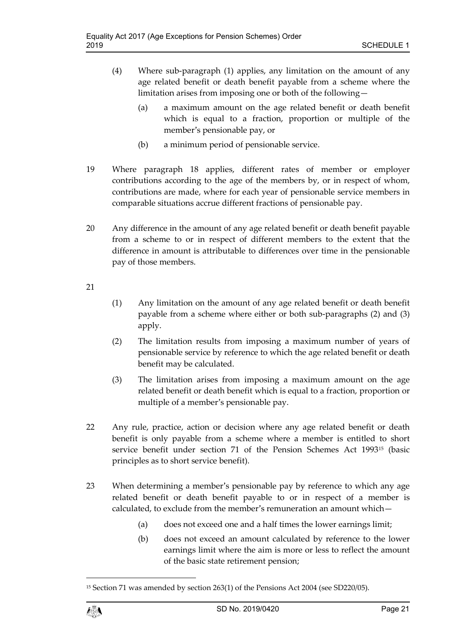- (4) Where sub-paragraph (1) applies, any limitation on the amount of any age related benefit or death benefit payable from a scheme where the limitation arises from imposing one or both of the following—
	- (a) a maximum amount on the age related benefit or death benefit which is equal to a fraction, proportion or multiple of the member's pensionable pay, or
	- (b) a minimum period of pensionable service.
- 19 Where paragraph 18 applies, different rates of member or employer contributions according to the age of the members by, or in respect of whom, contributions are made, where for each year of pensionable service members in comparable situations accrue different fractions of pensionable pay.
- 20 Any difference in the amount of any age related benefit or death benefit payable from a scheme to or in respect of different members to the extent that the difference in amount is attributable to differences over time in the pensionable pay of those members.

21

- (1) Any limitation on the amount of any age related benefit or death benefit payable from a scheme where either or both sub-paragraphs (2) and (3) apply.
- (2) The limitation results from imposing a maximum number of years of pensionable service by reference to which the age related benefit or death benefit may be calculated.
- (3) The limitation arises from imposing a maximum amount on the age related benefit or death benefit which is equal to a fraction, proportion or multiple of a member's pensionable pay.
- 22 Any rule, practice, action or decision where any age related benefit or death benefit is only payable from a scheme where a member is entitled to short service benefit under section 71 of the Pension Schemes Act 1993[15](#page-20-0) (basic principles as to short service benefit).
- 23 When determining a member's pensionable pay by reference to which any age related benefit or death benefit payable to or in respect of a member is calculated, to exclude from the member's remuneration an amount which—
	- (a) does not exceed one and a half times the lower earnings limit;
	- (b) does not exceed an amount calculated by reference to the lower earnings limit where the aim is more or less to reflect the amount of the basic state retirement pension;

<span id="page-20-0"></span><sup>15</sup> Section 71 was amended by section 263(1) of the Pensions Act 2004 (see SD220/05).

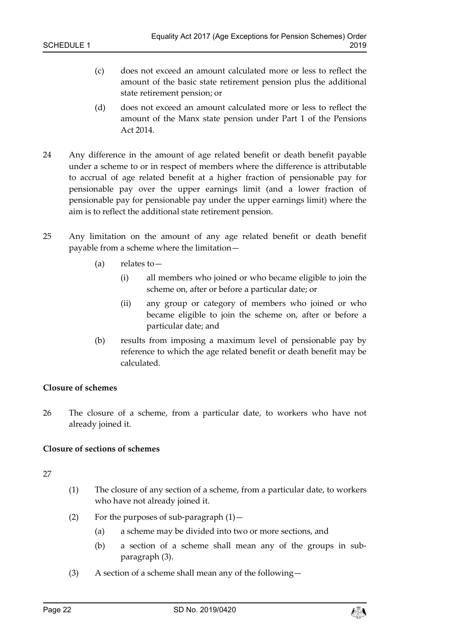- (c) does not exceed an amount calculated more or less to reflect the amount of the basic state retirement pension plus the additional state retirement pension; or
- (d) does not exceed an amount calculated more or less to reflect the amount of the Manx state pension under Part 1 of the Pensions Act 2014.
- 24 Any difference in the amount of age related benefit or death benefit payable under a scheme to or in respect of members where the difference is attributable to accrual of age related benefit at a higher fraction of pensionable pay for pensionable pay over the upper earnings limit (and a lower fraction of pensionable pay for pensionable pay under the upper earnings limit) where the aim is to reflect the additional state retirement pension.
- 25 Any limitation on the amount of any age related benefit or death benefit payable from a scheme where the limitation—
	- (a) relates to—
		- (i) all members who joined or who became eligible to join the scheme on, after or before a particular date; or
		- (ii) any group or category of members who joined or who became eligible to join the scheme on, after or before a particular date; and
	- (b) results from imposing a maximum level of pensionable pay by reference to which the age related benefit or death benefit may be calculated.

#### **Closure of schemes**

26 The closure of a scheme, from a particular date, to workers who have not already joined it.

## **Closure of sections of schemes**

#### 27

- (1) The closure of any section of a scheme, from a particular date, to workers who have not already joined it.
- (2) For the purposes of sub-paragraph  $(1)$  -
	- (a) a scheme may be divided into two or more sections, and
	- (b) a section of a scheme shall mean any of the groups in subparagraph (3).
- (3) A section of a scheme shall mean any of the following—

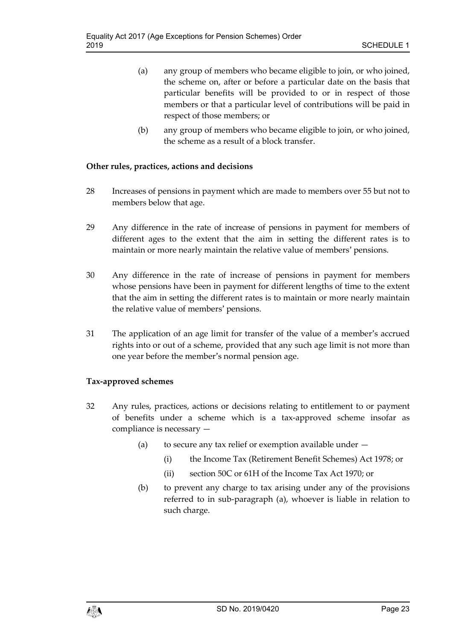- (a) any group of members who became eligible to join, or who joined, the scheme on, after or before a particular date on the basis that particular benefits will be provided to or in respect of those members or that a particular level of contributions will be paid in respect of those members; or
- (b) any group of members who became eligible to join, or who joined, the scheme as a result of a block transfer.

#### **Other rules, practices, actions and decisions**

- 28 Increases of pensions in payment which are made to members over 55 but not to members below that age.
- 29 Any difference in the rate of increase of pensions in payment for members of different ages to the extent that the aim in setting the different rates is to maintain or more nearly maintain the relative value of members' pensions.
- 30 Any difference in the rate of increase of pensions in payment for members whose pensions have been in payment for different lengths of time to the extent that the aim in setting the different rates is to maintain or more nearly maintain the relative value of members' pensions.
- 31 The application of an age limit for transfer of the value of a member's accrued rights into or out of a scheme, provided that any such age limit is not more than one year before the member's normal pension age.

#### **Tax-approved schemes**

- 32 Any rules, practices, actions or decisions relating to entitlement to or payment of benefits under a scheme which is a tax-approved scheme insofar as compliance is necessary —
	- (a) to secure any tax relief or exemption available under
		- (i) the Income Tax (Retirement Benefit Schemes) Act 1978; or
		- (ii) section 50C or 61H of the Income Tax Act 1970; or
	- (b) to prevent any charge to tax arising under any of the provisions referred to in sub-paragraph (a), whoever is liable in relation to such charge.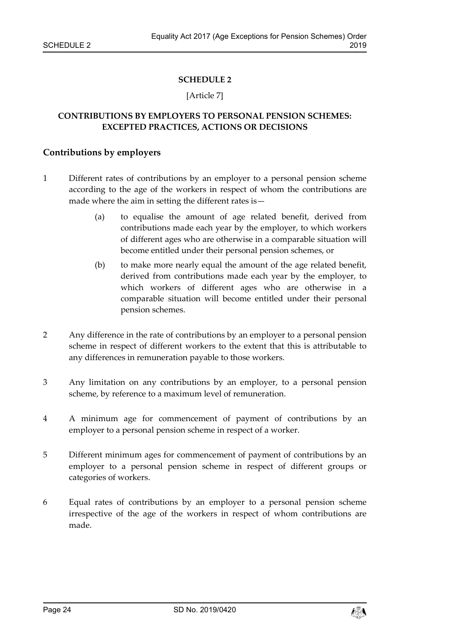### **SCHEDULE 2**

#### [Article 7]

## <span id="page-23-1"></span><span id="page-23-0"></span>**CONTRIBUTIONS BY EMPLOYERS TO PERSONAL PENSION SCHEMES: EXCEPTED PRACTICES, ACTIONS OR DECISIONS**

#### **Contributions by employers**

- 1 Different rates of contributions by an employer to a personal pension scheme according to the age of the workers in respect of whom the contributions are made where the aim in setting the different rates is—
	- (a) to equalise the amount of age related benefit, derived from contributions made each year by the employer, to which workers of different ages who are otherwise in a comparable situation will become entitled under their personal pension schemes, or
	- (b) to make more nearly equal the amount of the age related benefit, derived from contributions made each year by the employer, to which workers of different ages who are otherwise in a comparable situation will become entitled under their personal pension schemes.
- 2 Any difference in the rate of contributions by an employer to a personal pension scheme in respect of different workers to the extent that this is attributable to any differences in remuneration payable to those workers.
- 3 Any limitation on any contributions by an employer, to a personal pension scheme, by reference to a maximum level of remuneration.
- 4 A minimum age for commencement of payment of contributions by an employer to a personal pension scheme in respect of a worker.
- 5 Different minimum ages for commencement of payment of contributions by an employer to a personal pension scheme in respect of different groups or categories of workers.
- 6 Equal rates of contributions by an employer to a personal pension scheme irrespective of the age of the workers in respect of whom contributions are made.